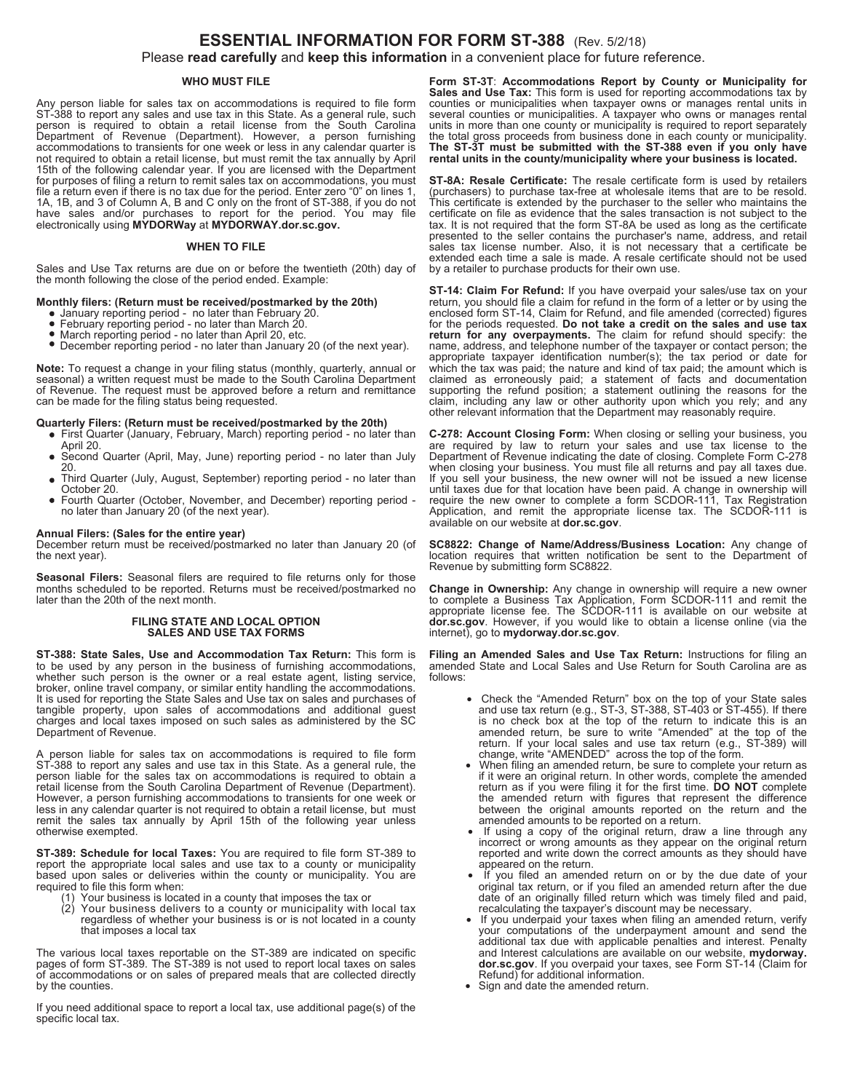## **ESSENTIAL INFORMATION FOR FORM ST-388** (Rev. 5/2/18)

#### Please **read carefully** and **keep this information** in a convenient place for future reference.

#### **WHO MUST FILE**

Any person liable for sales tax on accommodations is required to file form ST-388 to report any sales and use tax in this State. As a general rule, such person is required to obtain a retail license from the South Carolina Department of Revenue (Department). However, a person furnishing accommodations to transients for one week or less in any calendar quarter is not required to obtain a retail license, but must remit the tax annually by April 15th of the following calendar year. If you are licensed with the Department for purposes of filing a return to remit sales tax on accommodations, you must file a return even if there is no tax due for the period. Enter zero "0" on lines 1, 1A, 1B, and 3 of Column A, B and C only on the front of ST-388, if you do not have sales and/or purchases to report for the period. You may file electronically using **MYDORWay** at **MYDORWAY.dor.sc.gov.** 

#### **WHEN TO FILE**

Sales and Use Tax returns are due on or before the twentieth (20th) day of the month following the close of the period ended. Example:

#### **Monthly filers: (Return must be received/postmarked by the 20th)**

- January reporting period no later than February 20.
- February reporting period no later than March 20.
- $\bullet$ March reporting period - no later than April 20, etc.  $\bullet$
- December reporting period no later than January 20 (of the next year).

**Note:** To request a change in your filing status (monthly, quarterly, annual or seasonal) a written request must be made to the South Carolina Department of Revenue. The request must be approved before a return and remittance can be made for the filing status being requested.

#### **Quarterly Filers: (Return must be received/postmarked by the 20th)**

- First Quarter (January, February, March) reporting period no later than April 20.
- Second Quarter (April, May, June) reporting period no later than July  $\bullet$ 20.
- Third Quarter (July, August, September) reporting period no later than  $\bullet$ October 20.
- Fourth Quarter (October, November, and December) reporting period no later than January 20 (of the next year).

#### **Annual Filers: (Sales for the entire year)**

December return must be received/postmarked no later than January 20 (of the next year).

**Seasonal Filers:** Seasonal filers are required to file returns only for those months scheduled to be reported. Returns must be received/postmarked no later than the 20th of the next month.

#### **FILING STATE AND LOCAL OPTION SALES AND USE TAX FORMS**

**ST-388: State Sales, Use and Accommodation Tax Return:** This form is to be used by any person in the business of furnishing accommodations, whether such person is the owner or a real estate agent, listing service, broker, online travel company, or similar entity handling the accommodations. It is used for reporting the State Sales and Use tax on sales and purchases of tangible property, upon sales of accommodations and additional guest charges and local taxes imposed on such sales as administered by the SC Department of Revenue.

A person liable for sales tax on accommodations is required to file form ST-388 to report any sales and use tax in this State. As a general rule, the person liable for the sales tax on accommodations is required to obtain a retail license from the South Carolina Department of Revenue (Department). However, a person furnishing accommodations to transients for one week or less in any calendar quarter is not required to obtain a retail license, but must remit the sales tax annually by April 15th of the following year unless otherwise exempted.

**ST-389: Schedule for local Taxes:** You are required to file form ST-389 to report the appropriate local sales and use tax to a county or municipality based upon sales or deliveries within the county or municipality. You are required to file this form when:

- (1) Your business is located in a county that imposes the tax or
- (2) Your business delivers to a county or municipality with local tax regardless of whether your business is or is not located in a county that imposes a local tax

The various local taxes reportable on the ST-389 are indicated on specific pages of form ST-389. The ST-389 is not used to report local taxes on sales of accommodations or on sales of prepared meals that are collected directly by the counties.

If you need additional space to report a local tax, use additional page(s) of the specific local tax.

**Form ST-3T**: **Accommodations Report by County or Municipality for Sales and Use Tax:** This form is used for reporting accommodations tax by counties or municipalities when taxpayer owns or manages rental units in several counties or municipalities. A taxpayer who owns or manages rental units in more than one county or municipality is required to report separately the total gross proceeds from business done in each county or municipality. **The ST-3T must be submitted with the ST-388 even if you only have rental units in the county/municipality where your business is located.**

**ST-8A: Resale Certificate:** The resale certificate form is used by retailers (purchasers) to purchase tax-free at wholesale items that are to be resold. This certificate is extended by the purchaser to the seller who maintains the certificate on file as evidence that the sales transaction is not subject to the tax. It is not required that the form ST-8A be used as long as the certificate presented to the seller contains the purchaser's name, address, and retail sales tax license number. Also, it is not necessary that a certificate be extended each time a sale is made. A resale certificate should not be used by a retailer to purchase products for their own use.

**ST-14: Claim For Refund:** If you have overpaid your sales/use tax on your return, you should file a claim for refund in the form of a letter or by using the enclosed form ST-14, Claim for Refund, and file amended (corrected) figures for the periods requested. **Do not take a credit on the sales and use tax return for any overpayments.** The claim for refund should specify: the name, address, and telephone number of the taxpayer or contact person; the appropriate taxpayer identification number(s); the tax period or date for which the tax was paid; the nature and kind of tax paid; the amount which is claimed as erroneously paid; a statement of facts and documentation supporting the refund position; a statement outlining the reasons for the claim, including any law or other authority upon which you rely; and any other relevant information that the Department may reasonably require.

**C-278: Account Closing Form:** When closing or selling your business, you are required by law to return your sales and use tax license to the Department of Revenue indicating the date of closing. Complete Form C-278 when closing your business. You must file all returns and pay all taxes due. If you sell your business, the new owner will not be issued a new license until taxes due for that location have been paid. A change in ownership will require the new owner to complete a form SCDOR-111, Tax Registration Application, and remit the appropriate license tax. The SCDOR-111 is available on our website at **dor.sc.gov**.

**SC8822: Change of Name/Address/Business Location:** Any change of location requires that written notification be sent to the Department of Revenue by submitting form SC8822.

**Change in Ownership:** Any change in ownership will require a new owner to complete a Business Tax Application, Form SCDOR-111 and remit the appropriate license fee. The SCDOR-111 is available on our website at **dor.sc.gov**. However, if you would like to obtain a license online (via the internet), go to **mydorway.dor.sc.gov**.

**Filing an Amended Sales and Use Tax Return:** Instructions for filing an amended State and Local Sales and Use Return for South Carolina are as follows:

- Check the "Amended Return" box on the top of your State sales and use tax return (e.g., ST-3, ST-388, ST-403 or ST-455). If there is no check box at the top of the return to indicate this is an amended return, be sure to write "Amended" at the top of the return. If your local sales and use tax return (e.g., ST-389) will change, write "AMENDED" across the top of the form.
- When filing an amended return, be sure to complete your return as if it were an original return. In other words, complete the amended return as if you were filing it for the first time. **DO NOT** complete the amended return with figures that represent the difference between the original amounts reported on the return and the amended amounts to be reported on a return.
- If using a copy of the original return, draw a line through any incorrect or wrong amounts as they appear on the original return reported and write down the correct amounts as they should have appeared on the return.
- If you filed an amended return on or by the due date of your original tax return, or if you filed an amended return after the due date of an originally filled return which was timely filed and paid, recalculating the taxpayer's discount may be necessary.
	- If you underpaid your taxes when filing an amended return, verify your computations of the underpayment amount and send the additional tax due with applicable penalties and interest. Penalty and Interest calculations are available on our website, **mydorway. dor.sc.gov**. If you overpaid your taxes, see Form ST-14 (Claim for Refund) for additional information.
	- Sign and date the amended return.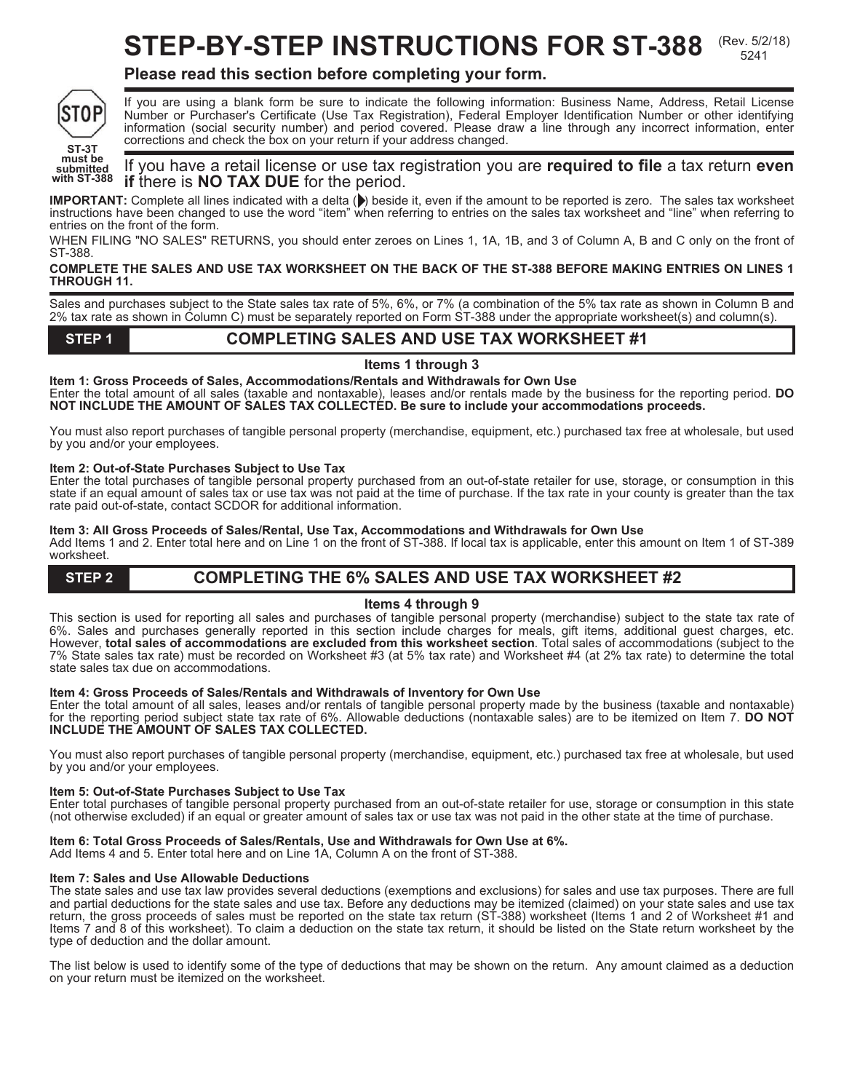# STEP-BY-STEP INSTRUCTIONS FOR ST-388 (Rev. 5/2/18)

5241

## **Please read this section before completing your form.**



If you are using a blank form be sure to indicate the following information: Business Name, Address, Retail License Number or Purchaser's Certificate (Use Tax Registration), Federal Employer Identification Number or other identifying information (social security number) and period covered. Please draw a line through any incorrect information, enter corrections and check the box on your return if your address changed.

## If you have a retail license or use tax registration you are **required to file** a tax return **even if** there is **NO TAX DUE** for the period.

**IMPORTANT:** Complete all lines indicated with a delta ( $\blacktriangleright$ ) beside it, even if the amount to be reported is zero. The sales tax worksheet instructions have been changed to use the word "item" when referring to entries on the sales tax worksheet and "line" when referring to entries on the front of the form.

WHEN FILING "NO SALES" RETURNS, you should enter zeroes on Lines 1, 1A, 1B, and 3 of Column A, B and C only on the front of ST-388.

## **COMPLETE THE SALES AND USE TAX WORKSHEET ON THE BACK OF THE ST-388 BEFORE MAKING ENTRIES ON LINES 1 THROUGH 11.**

Sales and purchases subject to the State sales tax rate of 5%, 6%, or 7% (a combination of the 5% tax rate as shown in Column B and 2% tax rate as shown in Column C) must be separately reported on Form ST-388 under the appropriate worksheet(s) and column(s).

## **STEP 1 COMPLETING SALES AND USE TAX WORKSHEET #1**

**Items 1 through 3**

**Item 1: Gross Proceeds of Sales, Accommodations/Rentals and Withdrawals for Own Use** Enter the total amount of all sales (taxable and nontaxable), leases and/or rentals made by the business for the reporting period. **DO NOT INCLUDE THE AMOUNT OF SALES TAX COLLECTED. Be sure to include your accommodations proceeds.** 

You must also report purchases of tangible personal property (merchandise, equipment, etc.) purchased tax free at wholesale, but used by you and/or your employees.

## **Item 2: Out-of-State Purchases Subject to Use Tax**

Enter the total purchases of tangible personal property purchased from an out-of-state retailer for use, storage, or consumption in this state if an equal amount of sales tax or use tax was not paid at the time of purchase. If the tax rate in your county is greater than the tax rate paid out-of-state, contact SCDOR for additional information.

#### **Item 3: All Gross Proceeds of Sales/Rental, Use Tax, Accommodations and Withdrawals for Own Use**

Add Items 1 and 2. Enter total here and on Line 1 on the front of ST-388. If local tax is applicable, enter this amount on Item 1 of ST-389 worksheet.

## **STEP 2 COMPLETING THE 6% SALES AND USE TAX WORKSHEET #2**

## **Items 4 through 9**

This section is used for reporting all sales and purchases of tangible personal property (merchandise) subject to the state tax rate of 6%. Sales and purchases generally reported in this section include charges for meals, gift items, additional guest charges, etc. However, **total sales of accommodations are excluded from this worksheet section**. Total sales of accommodations (subject to the 7% State sales tax rate) must be recorded on Worksheet #3 (at 5% tax rate) and Worksheet #4 (at 2% tax rate) to determine the total state sales tax due on accommodations.

## **Item 4: Gross Proceeds of Sales/Rentals and Withdrawals of Inventory for Own Use**

Enter the total amount of all sales, leases and/or rentals of tangible personal property made by the business (taxable and nontaxable) for the reporting period subject state tax rate of 6%. Allowable deductions (nontaxable sales) are to be itemized on Item 7. **DO NOT INCLUDE THE AMOUNT OF SALES TAX COLLECTED.**

You must also report purchases of tangible personal property (merchandise, equipment, etc.) purchased tax free at wholesale, but used by you and/or your employees.

## **Item 5: Out-of-State Purchases Subject to Use Tax**

Enter total purchases of tangible personal property purchased from an out-of-state retailer for use, storage or consumption in this state (not otherwise excluded) if an equal or greater amount of sales tax or use tax was not paid in the other state at the time of purchase.

## **Item 6: Total Gross Proceeds of Sales/Rentals, Use and Withdrawals for Own Use at 6%.**

Add Items 4 and 5. Enter total here and on Line 1A, Column A on the front of ST-388.

## **Item 7: Sales and Use Allowable Deductions**

The state sales and use tax law provides several deductions (exemptions and exclusions) for sales and use tax purposes. There are full and partial deductions for the state sales and use tax. Before any deductions may be itemized (claimed) on your state sales and use tax return, the gross proceeds of sales must be reported on the state tax return (ST-388) worksheet (Items 1 and 2 of Worksheet #1 and Items 7 and 8 of this worksheet). To claim a deduction on the state tax return, it should be listed on the State return worksheet by the type of deduction and the dollar amount.

The list below is used to identify some of the type of deductions that may be shown on the return. Any amount claimed as a deduction on your return must be itemized on the worksheet.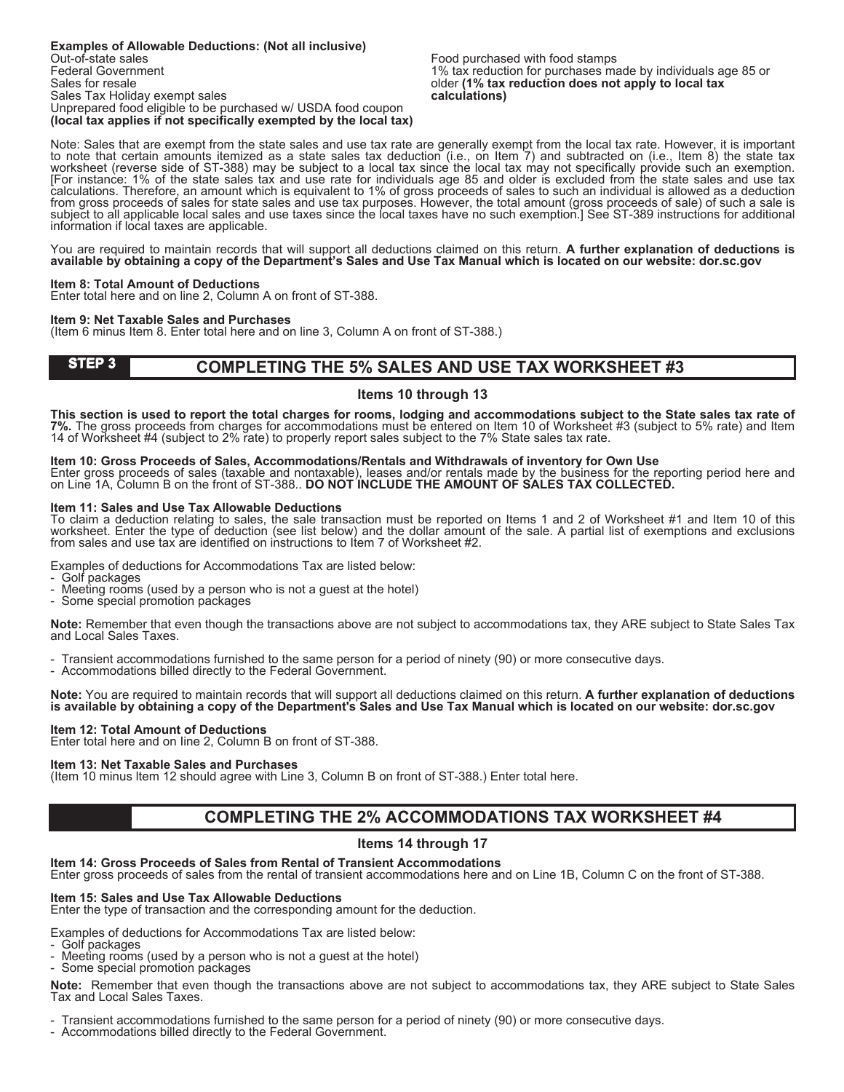Food purchased with food stamps 1% tax reduction for purchases made by individuals age 85 or older **(1% tax reduction does not apply to local tax calculations)**

Note: Sales that are exempt from the state sales and use tax rate are generally exempt from the local tax rate. However, it is important to note that certain amounts itemized as a state sales tax deduction (i.e., on Item 7) and subtracted on (i.e., Item 8) the state tax worksheet (reverse side of ST-388) may be subject to a local tax since the local tax may not specifically provide such an exemption. [For instance: 1% of the state sales tax and use rate for individuals age 85 and older is excluded from the state sales and use tax calculations. Therefore, an amount which is equivalent to 1% of gross proceeds of sales to such an individual is allowed as a deduction from gross proceeds of sales for state sales and use tax purposes. However, the total amount (gross proceeds of sale) of such a sale is subject to all applicable local sales and use taxes since the local taxes have no such exemption.] See ST-389 instructions for additional information if local taxes are applicable.

You are required to maintain records that will support all deductions claimed on this return. **A further explanation of deductions is available by obtaining a copy of the Department's Sales and Use Tax Manual which is located on our website: dor.sc.gov** 

#### **Item 8: Total Amount of Deductions**

Enter total here and on line 2, Column A on front of ST-388.

#### **Item 9: Net Taxable Sales and Purchases**

(Item 6 minus Item 8. Enter total here and on line 3, Column A on front of ST-388.)

#### **STEP 3 COMPLETING THE 5% SALES AND USE TAX WORKSHEET #3 STEP 3**

#### **Items 10 through 13**

**This section is used to report the total charges for rooms, lodging and accommodations subject to the State sales tax rate of 7%.** The gross proceeds from charges for accommodations must be entered on Item 10 of Worksheet #3 (subject to 5% rate) and Item 14 of Worksheet #4 (subject to 2% rate) to properly report sales subject to the 7% State sales tax rate.

#### **Item 10: Gross Proceeds of Sales, Accommodations/Rentals and Withdrawals of inventory for Own Use**

Enter gross proceeds of sales (taxable and nontaxable), leases and/or rentals made by the business for the reporting period here and on Line 1A, Column B on the front of ST-388.. **DO NOT INCLUDE THE AMOUNT OF SALES TAX COLLECTED.**

#### **Item 11: Sales and Use Tax Allowable Deductions**

To claim a deduction relating to sales, the sale transaction must be reported on Items 1 and 2 of Worksheet #1 and Item 10 of this worksheet. Enter the type of deduction (see list below) and the dollar amount of the sale. A partial list of exemptions and exclusions from sales and use tax are identified on instructions to Item 7 of Worksheet #2.

Examples of deductions for Accommodations Tax are listed below:

- Golf packages
- Meeting rooms (used by a person who is not a guest at the hotel)
- Some special promotion packages

**Note:** Remember that even though the transactions above are not subject to accommodations tax, they ARE subject to State Sales Tax and Local Sales Taxes.

- Transient accommodations furnished to the same person for a period of ninety (90) or more consecutive days.
- Accommodations billed directly to the Federal Government.

**Note:** You are required to maintain records that will support all deductions claimed on this return. **A further explanation of deductions is available by obtaining a copy of the Department's Sales and Use Tax Manual which is located on our website: dor.sc.gov** 

**Item 12: Total Amount of Deductions**<br>Enter total here and on line 2, Column B on front of ST-388.

## **Item 13: Net Taxable Sales and Purchases**

(Item 10 minus ltem 12 should agree with Line 3, Column B on front of ST-388.) Enter total here.

## **STEP 4 COMPLETING THE 2% ACCOMMODATIONS TAX WORKSHEET #4**

#### **Items 14 through 17**

#### **Item 14: Gross Proceeds of Sales from Rental of Transient Accommodations**

Enter gross proceeds of sales from the rental of transient accommodations here and on Line 1B, Column C on the front of ST-388.

**Item 15: Sales and Use Tax Allowable Deductions**<br>Enter the type of transaction and the corresponding amount for the deduction.

Examples of deductions for Accommodations Tax are listed below:

- Golf packages
- Meeting rooms (used by a person who is not a guest at the hotel)
- Some special promotion packages

**Note:** Remember that even though the transactions above are not subject to accommodations tax, they ARE subject to State Sales Tax and Local Sales Taxes.

- Transient accommodations furnished to the same person for a period of ninety (90) or more consecutive days.

- Accommodations billed directly to the Federal Government.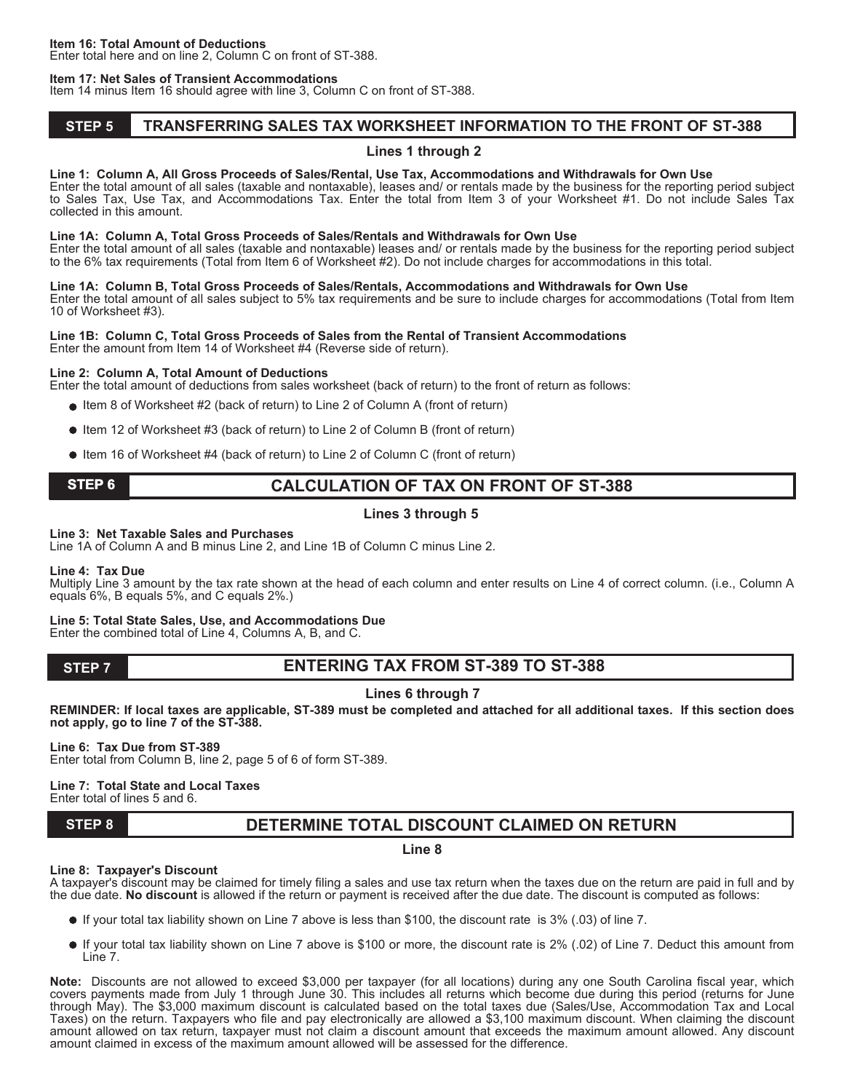Enter total here and on line 2, Column C on front of ST-388.

## **Item 17: Net Sales of Transient Accommodations**

Item 14 minus Item 16 should agree with line 3, Column C on front of ST-388.

#### **STEP 5 TRANSFERRING SALES TAX WORKSHEET INFORMATION TO THE FRONT OF ST-388**

## **Lines 1 through 2**

## **Line 1: Column A, All Gross Proceeds of Sales/Rental, Use Tax, Accommodations and Withdrawals for Own Use**

Enter the total amount of all sales (taxable and nontaxable), leases and/ or rentals made by the business for the reporting period subject to Sales Tax, Use Tax, and Accommodations Tax. Enter the total from Item 3 of your Worksheet #1. Do not include Sales Tax collected in this amount.

## **Line 1A: Column A, Total Gross Proceeds of Sales/Rentals and Withdrawals for Own Use**

Enter the total amount of all sales (taxable and nontaxable) leases and/ or rentals made by the business for the reporting period subject to the 6% tax requirements (Total from Item 6 of Worksheet #2). Do not include charges for accommodations in this total.

## **Line 1A: Column B, Total Gross Proceeds of Sales/Rentals, Accommodations and Withdrawals for Own Use**

Enter the total amount of all sales subject to 5% tax requirements and be sure to include charges for accommodations (Total from Item 10 of Worksheet #3).

#### **Line 1B: Column C, Total Gross Proceeds of Sales from the Rental of Transient Accommodations**  Enter the amount from Item 14 of Worksheet #4 (Reverse side of return).

## **Line 2: Column A, Total Amount of Deductions**

Enter the total amount of deductions from sales worksheet (back of return) to the front of return as follows:

- Item 8 of Worksheet #2 (back of return) to Line 2 of Column A (front of return)
- Item 12 of Worksheet #3 (back of return) to Line 2 of Column B (front of return)
- Item 16 of Worksheet #4 (back of return) to Line 2 of Column C (front of return)

## **STEP 6**

## **CALCULATION OF TAX ON FRONT OF ST-388**

## **Lines 3 through 5**

## **Line 3: Net Taxable Sales and Purchases**

Line 1A of Column A and B minus Line 2, and Line 1B of Column C minus Line 2.

## **Line 4: Tax Due**

Multiply Line 3 amount by the tax rate shown at the head of each column and enter results on Line 4 of correct column. (i.e., Column A equals 6%, B equals 5%, and C equals 2%.)

## **Line 5: Total State Sales, Use, and Accommodations Due** Enter the combined total of Line 4, Columns A, B, and C.

**STEP 7**

## **ENTERING TAX FROM ST-389 TO ST-388**

## **Lines 6 through 7**

**REMINDER: If local taxes are applicable, ST-389 must be completed and attached for all additional taxes. If this section does not apply, go to line 7 of the ST-388.** 

**Line 6: Tax Due from ST-389** Enter total from Column B, line 2, page 5 of 6 of form ST-389.

## **Line 7: Total State and Local Taxes**

Enter total of lines 5 and 6.

## **STEP 8**

## **DETERMINE TOTAL DISCOUNT CLAIMED ON RETURN**

## **Line 8**

## **Line 8: Taxpayer's Discount**

A taxpayer's discount may be claimed for timely filing a sales and use tax return when the taxes due on the return are paid in full and by the due date. **No discount** is allowed if the return or payment is received after the due date. The discount is computed as follows:

- If your total tax liability shown on Line 7 above is less than \$100, the discount rate is 3% (.03) of line 7.
- If your total tax liability shown on Line 7 above is \$100 or more, the discount rate is 2% (.02) of Line 7. Deduct this amount from Line 7.

**Note:** Discounts are not allowed to exceed \$3,000 per taxpayer (for all locations) during any one South Carolina fiscal year, which covers payments made from July 1 through June 30. This includes all returns which become due during this period (returns for June through May). The \$3,000 maximum discount is calculated based on the total taxes due (Sales/Use, Accommodation Tax and Local Taxes) on the return. Taxpayers who file and pay electronically are allowed a \$3,100 maximum discount. When claiming the discount amount allowed on tax return, taxpayer must not claim a discount amount that exceeds the maximum amount allowed. Any discount amount claimed in excess of the maximum amount allowed will be assessed for the difference.